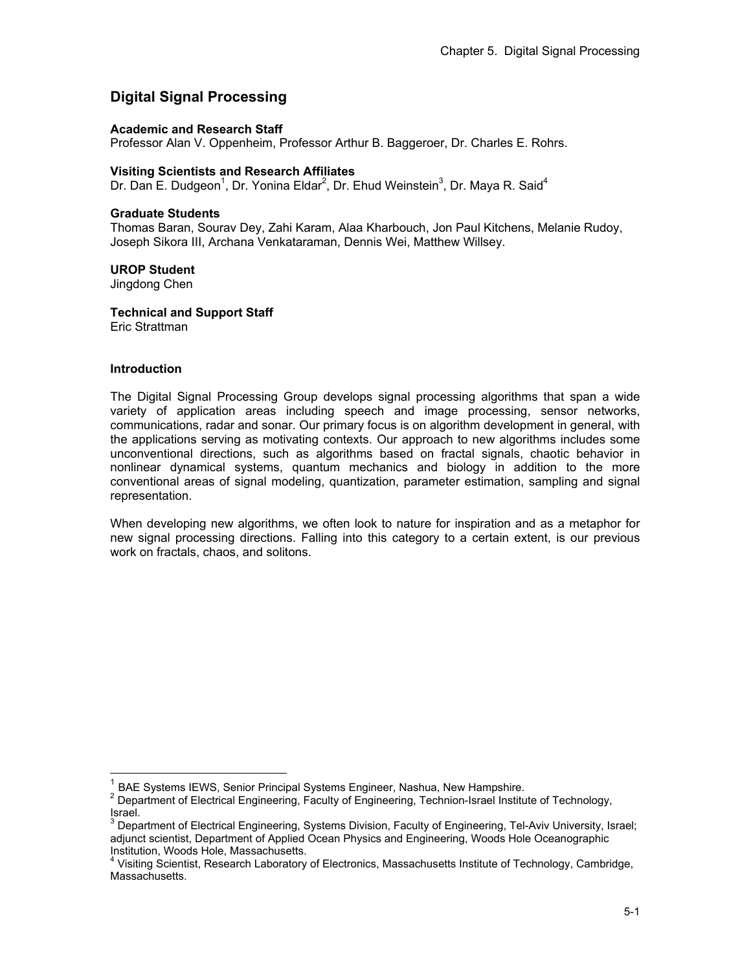# **Digital Signal Processing**

### **Academic and Research Staff**

Professor Alan V. Oppenheim, Professor Arthur B. Baggeroer, Dr. Charles E. Rohrs.

### **Visiting Scientists and Research Affiliates**

Dr. Dan E. Dudgeon<sup>1</sup>, Dr. Yonina Eldar<sup>2</sup>, Dr. Ehud Weinstein<sup>3</sup>, Dr. Maya R. Said<sup>4</sup>

### **Graduate Students**

Thomas Baran, Sourav Dey, Zahi Karam, Alaa Kharbouch, Jon Paul Kitchens, Melanie Rudoy, Joseph Sikora III, Archana Venkataraman, Dennis Wei, Matthew Willsey.

### **UROP Student**

Jingdong Chen

**Technical and Support Staff**  Eric Strattman

#### **Introduction**

 $\overline{a}$ 

The Digital Signal Processing Group develops signal processing algorithms that span a wide variety of application areas including speech and image processing, sensor networks, communications, radar and sonar. Our primary focus is on algorithm development in general, with the applications serving as motivating contexts. Our approach to new algorithms includes some unconventional directions, such as algorithms based on fractal signals, chaotic behavior in nonlinear dynamical systems, quantum mechanics and biology in addition to the more conventional areas of signal modeling, quantization, parameter estimation, sampling and signal representation.

When developing new algorithms, we often look to nature for inspiration and as a metaphor for new signal processing directions. Falling into this category to a certain extent, is our previous work on fractals, chaos, and solitons.

BAE Systems IEWS, Senior Principal Systems Engineer, Nashua, New Hampshire.

<sup>2</sup> Department of Electrical Engineering, Faculty of Engineering, Technion-Israel Institute of Technology, Israel.

 $^3$  Department of Electrical Engineering, Systems Division, Faculty of Engineering, Tel-Aviv University, Israel; adjunct scientist, Department of Applied Ocean Physics and Engineering, Woods Hole Oceanographic Institution, Woods Hole, Massachusetts.

<sup>&</sup>lt;sup>4</sup> Visiting Scientist, Research Laboratory of Electronics, Massachusetts Institute of Technology, Cambridge, Massachusetts.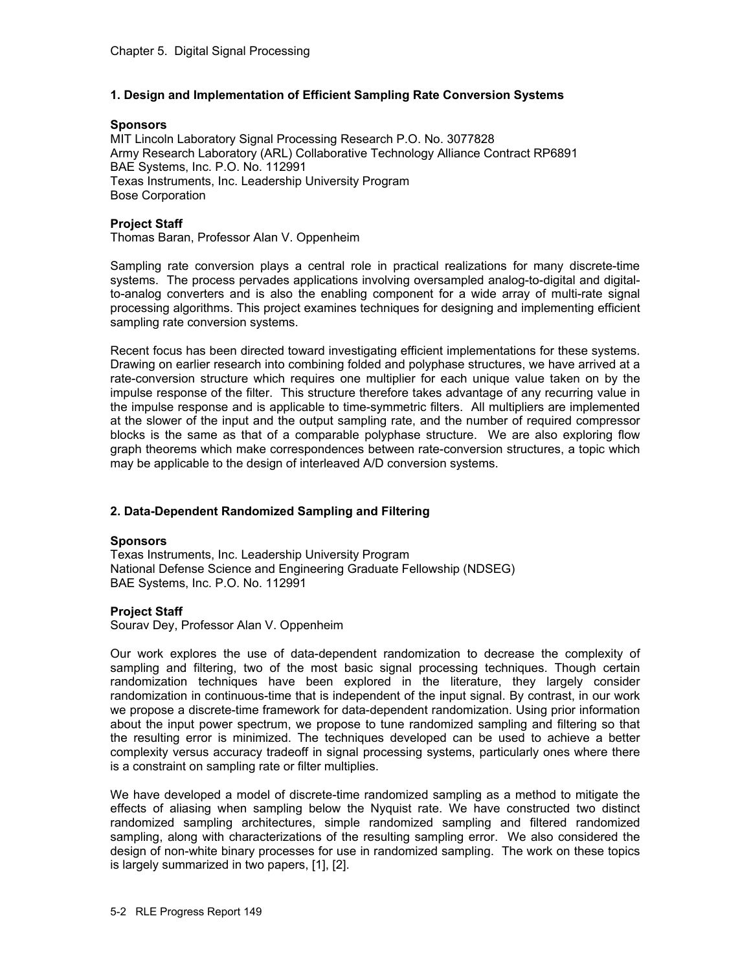## **1. Design and Implementation of Efficient Sampling Rate Conversion Systems**

#### **Sponsors**

MIT Lincoln Laboratory Signal Processing Research P.O. No. 3077828 Army Research Laboratory (ARL) Collaborative Technology Alliance Contract RP6891 BAE Systems, Inc. P.O. No. 112991 Texas Instruments, Inc. Leadership University Program Bose Corporation

### **Project Staff**

Thomas Baran, Professor Alan V. Oppenheim

Sampling rate conversion plays a central role in practical realizations for many discrete-time systems. The process pervades applications involving oversampled analog-to-digital and digitalto-analog converters and is also the enabling component for a wide array of multi-rate signal processing algorithms. This project examines techniques for designing and implementing efficient sampling rate conversion systems.

Recent focus has been directed toward investigating efficient implementations for these systems. Drawing on earlier research into combining folded and polyphase structures, we have arrived at a rate-conversion structure which requires one multiplier for each unique value taken on by the impulse response of the filter. This structure therefore takes advantage of any recurring value in the impulse response and is applicable to time-symmetric filters. All multipliers are implemented at the slower of the input and the output sampling rate, and the number of required compressor blocks is the same as that of a comparable polyphase structure. We are also exploring flow graph theorems which make correspondences between rate-conversion structures, a topic which may be applicable to the design of interleaved A/D conversion systems.

## **2. Data-Dependent Randomized Sampling and Filtering**

### **Sponsors**

Texas Instruments, Inc. Leadership University Program National Defense Science and Engineering Graduate Fellowship (NDSEG) BAE Systems, Inc. P.O. No. 112991

### **Project Staff**

Sourav Dey, Professor Alan V. Oppenheim

Our work explores the use of data-dependent randomization to decrease the complexity of sampling and filtering, two of the most basic signal processing techniques. Though certain randomization techniques have been explored in the literature, they largely consider randomization in continuous-time that is independent of the input signal. By contrast, in our work we propose a discrete-time framework for data-dependent randomization. Using prior information about the input power spectrum, we propose to tune randomized sampling and filtering so that the resulting error is minimized. The techniques developed can be used to achieve a better complexity versus accuracy tradeoff in signal processing systems, particularly ones where there is a constraint on sampling rate or filter multiplies.

We have developed a model of discrete-time randomized sampling as a method to mitigate the effects of aliasing when sampling below the Nyquist rate. We have constructed two distinct randomized sampling architectures, simple randomized sampling and filtered randomized sampling, along with characterizations of the resulting sampling error. We also considered the design of non-white binary processes for use in randomized sampling. The work on these topics is largely summarized in two papers, [1], [2].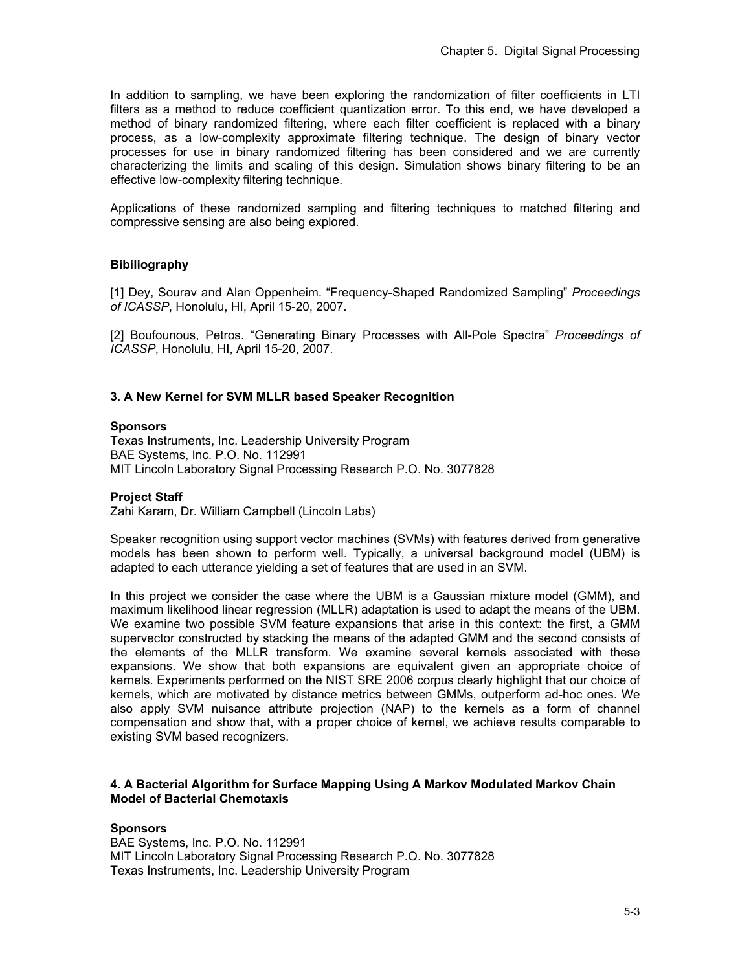In addition to sampling, we have been exploring the randomization of filter coefficients in LTI filters as a method to reduce coefficient quantization error. To this end, we have developed a method of binary randomized filtering, where each filter coefficient is replaced with a binary process, as a low-complexity approximate filtering technique. The design of binary vector processes for use in binary randomized filtering has been considered and we are currently characterizing the limits and scaling of this design. Simulation shows binary filtering to be an effective low-complexity filtering technique.

Applications of these randomized sampling and filtering techniques to matched filtering and compressive sensing are also being explored.

## **Bibiliography**

[1] Dey, Sourav and Alan Oppenheim. "Frequency-Shaped Randomized Sampling" *Proceedings of ICASSP*, Honolulu, HI, April 15-20, 2007.

[2] Boufounous, Petros. "Generating Binary Processes with All-Pole Spectra" *Proceedings of ICASSP*, Honolulu, HI, April 15-20, 2007.

### **3. A New Kernel for SVM MLLR based Speaker Recognition**

#### **Sponsors**

Texas Instruments, Inc. Leadership University Program BAE Systems, Inc. P.O. No. 112991 MIT Lincoln Laboratory Signal Processing Research P.O. No. 3077828

### **Project Staff**

Zahi Karam, Dr. William Campbell (Lincoln Labs)

Speaker recognition using support vector machines (SVMs) with features derived from generative models has been shown to perform well. Typically, a universal background model (UBM) is adapted to each utterance yielding a set of features that are used in an SVM.

In this project we consider the case where the UBM is a Gaussian mixture model (GMM), and maximum likelihood linear regression (MLLR) adaptation is used to adapt the means of the UBM. We examine two possible SVM feature expansions that arise in this context: the first, a GMM supervector constructed by stacking the means of the adapted GMM and the second consists of the elements of the MLLR transform. We examine several kernels associated with these expansions. We show that both expansions are equivalent given an appropriate choice of kernels. Experiments performed on the NIST SRE 2006 corpus clearly highlight that our choice of kernels, which are motivated by distance metrics between GMMs, outperform ad-hoc ones. We also apply SVM nuisance attribute projection (NAP) to the kernels as a form of channel compensation and show that, with a proper choice of kernel, we achieve results comparable to existing SVM based recognizers.

### **4. A Bacterial Algorithm for Surface Mapping Using A Markov Modulated Markov Chain Model of Bacterial Chemotaxis**

### **Sponsors**

BAE Systems, Inc. P.O. No. 112991 MIT Lincoln Laboratory Signal Processing Research P.O. No. 3077828 Texas Instruments, Inc. Leadership University Program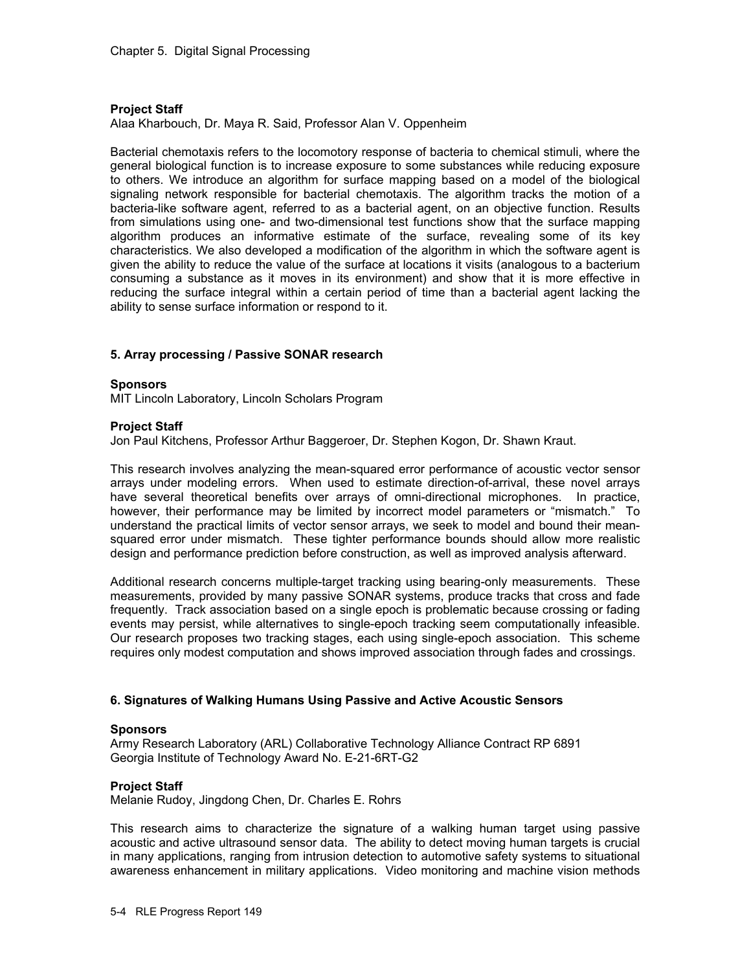#### **Project Staff**

Alaa Kharbouch, Dr. Maya R. Said, Professor Alan V. Oppenheim

Bacterial chemotaxis refers to the locomotory response of bacteria to chemical stimuli, where the general biological function is to increase exposure to some substances while reducing exposure to others. We introduce an algorithm for surface mapping based on a model of the biological signaling network responsible for bacterial chemotaxis. The algorithm tracks the motion of a bacteria-like software agent, referred to as a bacterial agent, on an objective function. Results from simulations using one- and two-dimensional test functions show that the surface mapping algorithm produces an informative estimate of the surface, revealing some of its key characteristics. We also developed a modification of the algorithm in which the software agent is given the ability to reduce the value of the surface at locations it visits (analogous to a bacterium consuming a substance as it moves in its environment) and show that it is more effective in reducing the surface integral within a certain period of time than a bacterial agent lacking the ability to sense surface information or respond to it.

### **5. Array processing / Passive SONAR research**

### **Sponsors**

MIT Lincoln Laboratory, Lincoln Scholars Program

#### **Project Staff**

Jon Paul Kitchens, Professor Arthur Baggeroer, Dr. Stephen Kogon, Dr. Shawn Kraut.

This research involves analyzing the mean-squared error performance of acoustic vector sensor arrays under modeling errors. When used to estimate direction-of-arrival, these novel arrays have several theoretical benefits over arrays of omni-directional microphones. In practice, however, their performance may be limited by incorrect model parameters or "mismatch." To understand the practical limits of vector sensor arrays, we seek to model and bound their meansquared error under mismatch. These tighter performance bounds should allow more realistic design and performance prediction before construction, as well as improved analysis afterward.

Additional research concerns multiple-target tracking using bearing-only measurements. These measurements, provided by many passive SONAR systems, produce tracks that cross and fade frequently. Track association based on a single epoch is problematic because crossing or fading events may persist, while alternatives to single-epoch tracking seem computationally infeasible. Our research proposes two tracking stages, each using single-epoch association. This scheme requires only modest computation and shows improved association through fades and crossings.

### **6. Signatures of Walking Humans Using Passive and Active Acoustic Sensors**

#### **Sponsors**

Army Research Laboratory (ARL) Collaborative Technology Alliance Contract RP 6891 Georgia Institute of Technology Award No. E-21-6RT-G2

### **Project Staff**

Melanie Rudoy, Jingdong Chen, Dr. Charles E. Rohrs

This research aims to characterize the signature of a walking human target using passive acoustic and active ultrasound sensor data. The ability to detect moving human targets is crucial in many applications, ranging from intrusion detection to automotive safety systems to situational awareness enhancement in military applications. Video monitoring and machine vision methods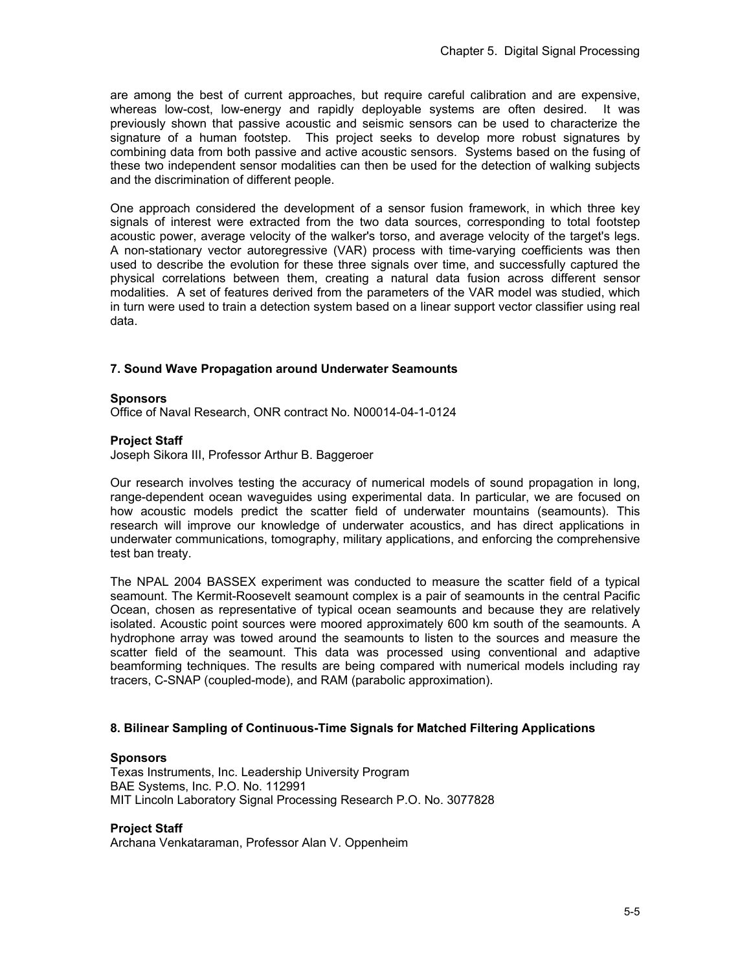are among the best of current approaches, but require careful calibration and are expensive, whereas low-cost, low-energy and rapidly deployable systems are often desired. It was previously shown that passive acoustic and seismic sensors can be used to characterize the signature of a human footstep. This project seeks to develop more robust signatures by combining data from both passive and active acoustic sensors. Systems based on the fusing of these two independent sensor modalities can then be used for the detection of walking subjects and the discrimination of different people.

One approach considered the development of a sensor fusion framework, in which three key signals of interest were extracted from the two data sources, corresponding to total footstep acoustic power, average velocity of the walker's torso, and average velocity of the target's legs. A non-stationary vector autoregressive (VAR) process with time-varying coefficients was then used to describe the evolution for these three signals over time, and successfully captured the physical correlations between them, creating a natural data fusion across different sensor modalities. A set of features derived from the parameters of the VAR model was studied, which in turn were used to train a detection system based on a linear support vector classifier using real data.

## **7. Sound Wave Propagation around Underwater Seamounts**

#### **Sponsors**

Office of Naval Research, ONR contract No. N00014-04-1-0124

### **Project Staff**

Joseph Sikora III, Professor Arthur B. Baggeroer

Our research involves testing the accuracy of numerical models of sound propagation in long, range-dependent ocean waveguides using experimental data. In particular, we are focused on how acoustic models predict the scatter field of underwater mountains (seamounts). This research will improve our knowledge of underwater acoustics, and has direct applications in underwater communications, tomography, military applications, and enforcing the comprehensive test ban treaty.

The NPAL 2004 BASSEX experiment was conducted to measure the scatter field of a typical seamount. The Kermit-Roosevelt seamount complex is a pair of seamounts in the central Pacific Ocean, chosen as representative of typical ocean seamounts and because they are relatively isolated. Acoustic point sources were moored approximately 600 km south of the seamounts. A hydrophone array was towed around the seamounts to listen to the sources and measure the scatter field of the seamount. This data was processed using conventional and adaptive beamforming techniques. The results are being compared with numerical models including ray tracers, C-SNAP (coupled-mode), and RAM (parabolic approximation).

### **8. Bilinear Sampling of Continuous-Time Signals for Matched Filtering Applications**

#### **Sponsors**

Texas Instruments, Inc. Leadership University Program BAE Systems, Inc. P.O. No. 112991 MIT Lincoln Laboratory Signal Processing Research P.O. No. 3077828

### **Project Staff**

Archana Venkataraman, Professor Alan V. Oppenheim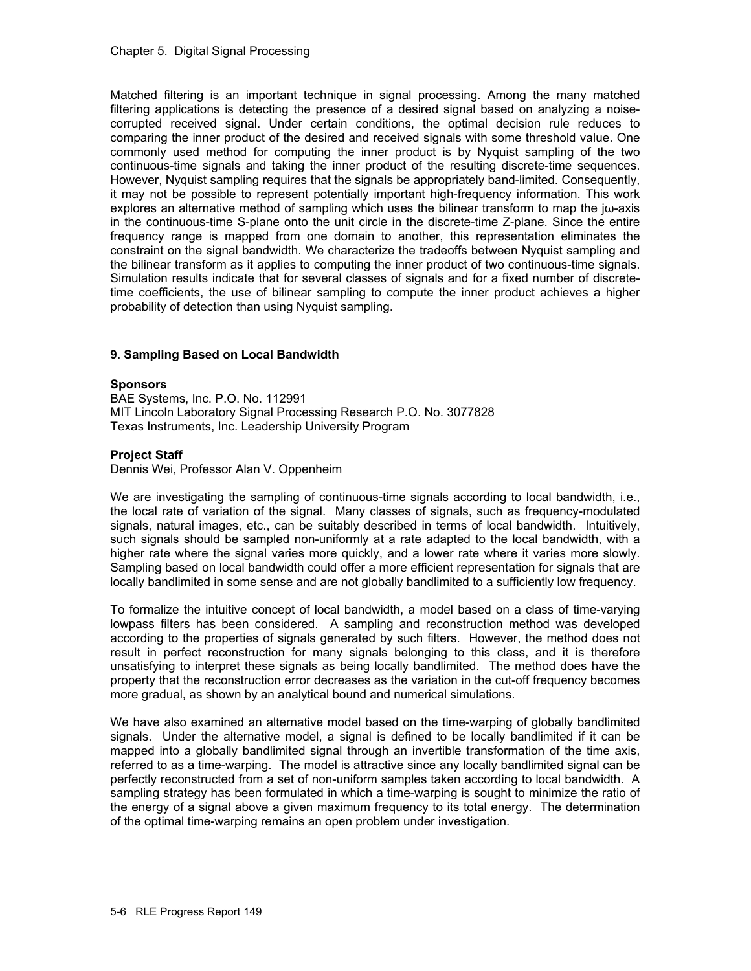Matched filtering is an important technique in signal processing. Among the many matched filtering applications is detecting the presence of a desired signal based on analyzing a noisecorrupted received signal. Under certain conditions, the optimal decision rule reduces to comparing the inner product of the desired and received signals with some threshold value. One commonly used method for computing the inner product is by Nyquist sampling of the two continuous-time signals and taking the inner product of the resulting discrete-time sequences. However, Nyquist sampling requires that the signals be appropriately band-limited. Consequently, it may not be possible to represent potentially important high-frequency information. This work explores an alternative method of sampling which uses the bilinear transform to map the jω-axis in the continuous-time S-plane onto the unit circle in the discrete-time Z-plane. Since the entire frequency range is mapped from one domain to another, this representation eliminates the constraint on the signal bandwidth. We characterize the tradeoffs between Nyquist sampling and the bilinear transform as it applies to computing the inner product of two continuous-time signals. Simulation results indicate that for several classes of signals and for a fixed number of discretetime coefficients, the use of bilinear sampling to compute the inner product achieves a higher probability of detection than using Nyquist sampling.

## **9. Sampling Based on Local Bandwidth**

## **Sponsors**

BAE Systems, Inc. P.O. No. 112991 MIT Lincoln Laboratory Signal Processing Research P.O. No. 3077828 Texas Instruments, Inc. Leadership University Program

## **Project Staff**

Dennis Wei, Professor Alan V. Oppenheim

We are investigating the sampling of continuous-time signals according to local bandwidth, i.e., the local rate of variation of the signal. Many classes of signals, such as frequency-modulated signals, natural images, etc., can be suitably described in terms of local bandwidth. Intuitively, such signals should be sampled non-uniformly at a rate adapted to the local bandwidth, with a higher rate where the signal varies more quickly, and a lower rate where it varies more slowly. Sampling based on local bandwidth could offer a more efficient representation for signals that are locally bandlimited in some sense and are not globally bandlimited to a sufficiently low frequency.

To formalize the intuitive concept of local bandwidth, a model based on a class of time-varying lowpass filters has been considered. A sampling and reconstruction method was developed according to the properties of signals generated by such filters. However, the method does not result in perfect reconstruction for many signals belonging to this class, and it is therefore unsatisfying to interpret these signals as being locally bandlimited. The method does have the property that the reconstruction error decreases as the variation in the cut-off frequency becomes more gradual, as shown by an analytical bound and numerical simulations.

We have also examined an alternative model based on the time-warping of globally bandlimited signals. Under the alternative model, a signal is defined to be locally bandlimited if it can be mapped into a globally bandlimited signal through an invertible transformation of the time axis, referred to as a time-warping. The model is attractive since any locally bandlimited signal can be perfectly reconstructed from a set of non-uniform samples taken according to local bandwidth. A sampling strategy has been formulated in which a time-warping is sought to minimize the ratio of the energy of a signal above a given maximum frequency to its total energy. The determination of the optimal time-warping remains an open problem under investigation.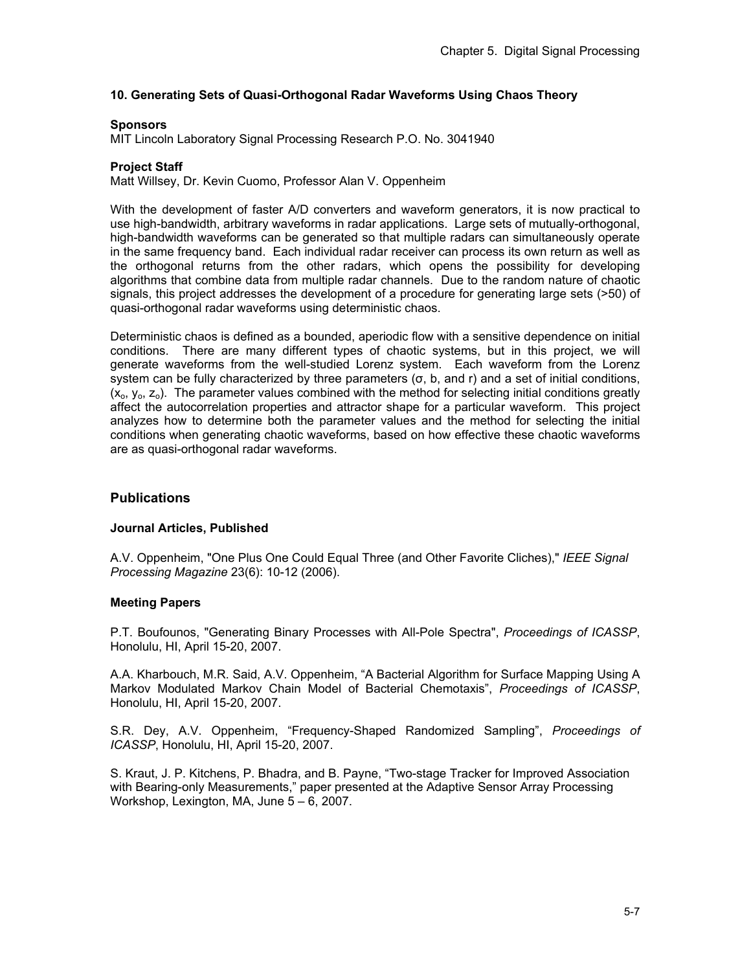## **10. Generating Sets of Quasi-Orthogonal Radar Waveforms Using Chaos Theory**

#### **Sponsors**

MIT Lincoln Laboratory Signal Processing Research P.O. No. 3041940

#### **Project Staff**

Matt Willsey, Dr. Kevin Cuomo, Professor Alan V. Oppenheim

With the development of faster A/D converters and waveform generators, it is now practical to use high-bandwidth, arbitrary waveforms in radar applications. Large sets of mutually-orthogonal, high-bandwidth waveforms can be generated so that multiple radars can simultaneously operate in the same frequency band. Each individual radar receiver can process its own return as well as the orthogonal returns from the other radars, which opens the possibility for developing algorithms that combine data from multiple radar channels. Due to the random nature of chaotic signals, this project addresses the development of a procedure for generating large sets (>50) of quasi-orthogonal radar waveforms using deterministic chaos.

Deterministic chaos is defined as a bounded, aperiodic flow with a sensitive dependence on initial conditions. There are many different types of chaotic systems, but in this project, we will generate waveforms from the well-studied Lorenz system. Each waveform from the Lorenz system can be fully characterized by three parameters (σ, b, and r) and a set of initial conditions,  $(x_0, y_0, z_0)$ . The parameter values combined with the method for selecting initial conditions greatly affect the autocorrelation properties and attractor shape for a particular waveform. This project analyzes how to determine both the parameter values and the method for selecting the initial conditions when generating chaotic waveforms, based on how effective these chaotic waveforms are as quasi-orthogonal radar waveforms.

## **Publications**

#### **Journal Articles, Published**

A.V. Oppenheim, "One Plus One Could Equal Three (and Other Favorite Cliches)," *IEEE Signal Processing Magazine* 23(6): 10-12 (2006).

#### **Meeting Papers**

P.T. Boufounos, "Generating Binary Processes with All-Pole Spectra", *Proceedings of ICASSP*, Honolulu, HI, April 15-20, 2007.

A.A. Kharbouch, M.R. Said, A.V. Oppenheim, "A Bacterial Algorithm for Surface Mapping Using A Markov Modulated Markov Chain Model of Bacterial Chemotaxis", *Proceedings of ICASSP*, Honolulu, HI, April 15-20, 2007.

S.R. Dey, A.V. Oppenheim, "Frequency-Shaped Randomized Sampling", *Proceedings of ICASSP*, Honolulu, HI, April 15-20, 2007.

S. Kraut, J. P. Kitchens, P. Bhadra, and B. Payne, "Two-stage Tracker for Improved Association with Bearing-only Measurements," paper presented at the Adaptive Sensor Array Processing Workshop, Lexington, MA, June 5 – 6, 2007.